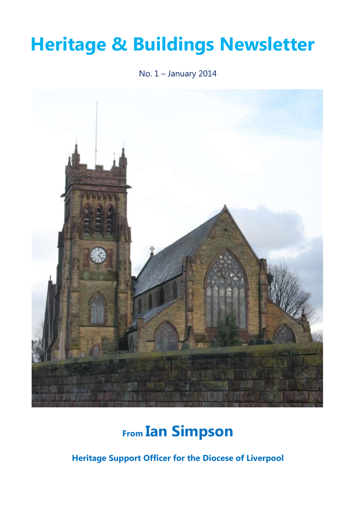# **Heritage & Buildings Newsletter**

No. 1 – January 2014



## **From Ian Simpson**

**Heritage Support Officer for the Diocese of Liverpool**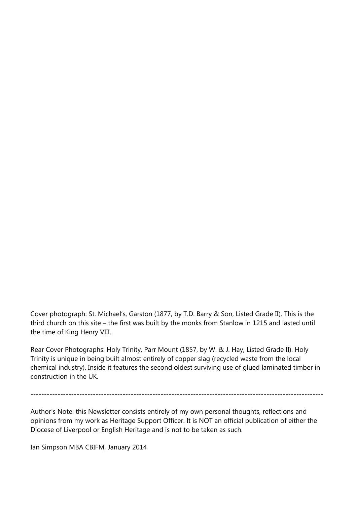Cover photograph: St. Michael's, Garston (1877, by T.D. Barry & Son, Listed Grade II). This is the third church on this site – the first was built by the monks from Stanlow in 1215 and lasted until the time of King Henry VIII.

Rear Cover Photographs: Holy Trinity, Parr Mount (1857, by W. & J. Hay, Listed Grade II). Holy Trinity is unique in being built almost entirely of copper slag (recycled waste from the local chemical industry). Inside it features the second oldest surviving use of glued laminated timber in construction in the UK.

------------------------------------------------------------------------------------------------------------

Author's Note: this Newsletter consists entirely of my own personal thoughts, reflections and opinions from my work as Heritage Support Officer. It is NOT an official publication of either the Diocese of Liverpool or English Heritage and is not to be taken as such.

Ian Simpson MBA CBIFM, January 2014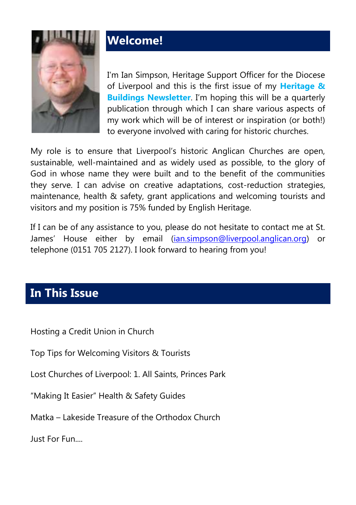

### **Welcome!**

I'm Ian Simpson, Heritage Support Officer for the Diocese of Liverpool and this is the first issue of my **Heritage & Buildings Newsletter**. I'm hoping this will be a quarterly publication through which I can share various aspects of my work which will be of interest or inspiration (or both!) to everyone involved with caring for historic churches.

My role is to ensure that Liverpool's historic Anglican Churches are open, sustainable, well-maintained and as widely used as possible, to the glory of God in whose name they were built and to the benefit of the communities they serve. I can advise on creative adaptations, cost-reduction strategies, maintenance, health & safety, grant applications and welcoming tourists and visitors and my position is 75% funded by English Heritage.

If I can be of any assistance to you, please do not hesitate to contact me at St. James' House either by email ([ian.simpson@liverpool.anglican.org\)](mailto:ian.simpson@liverpool.anglican.org) or telephone (0151 705 2127). I look forward to hearing from you!

#### **In This Issue**

Hosting a Credit Union in Church

Top Tips for Welcoming Visitors & Tourists

Lost Churches of Liverpool: 1. All Saints, Princes Park

"Making It Easier" Health & Safety Guides

Matka – Lakeside Treasure of the Orthodox Church

Just For Fun....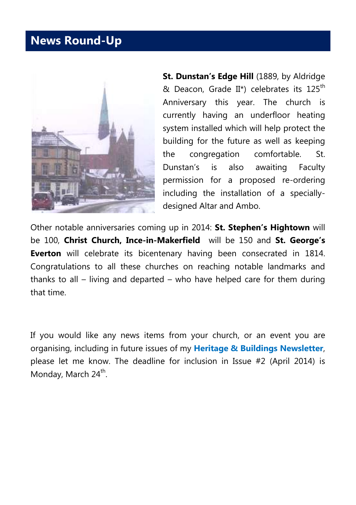#### **News Round-Up**



**St. Dunstan's Edge Hill (1889, by Aldridge)** & Deacon, Grade II\*) celebrates its  $125^{th}$ Anniversary this year. The church is currently having an underfloor heating system installed which will help protect the building for the future as well as keeping the congregation comfortable. St. Dunstan's is also awaiting Faculty permission for a proposed re-ordering including the installation of a speciallydesigned Altar and Ambo.

Other notable anniversaries coming up in 2014: **St. Stephen's Hightown** will be 100, **Christ Church, Ince-in-Makerfield** will be 150 and **St. George's Everton** will celebrate its bicentenary having been consecrated in 1814. Congratulations to all these churches on reaching notable landmarks and thanks to all – living and departed – who have helped care for them during that time.

If you would like any news items from your church, or an event you are organising, including in future issues of my **Heritage & Buildings Newsletter**, please let me know. The deadline for inclusion in Issue #2 (April 2014) is Monday, March 24<sup>th</sup>.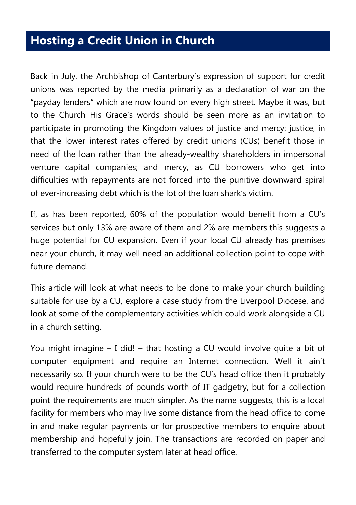#### **Hosting a Credit Union in Church**

Back in July, the Archbishop of Canterbury's expression of support for credit unions was reported by the media primarily as a declaration of war on the "payday lenders" which are now found on every high street. Maybe it was, but to the Church His Grace's words should be seen more as an invitation to participate in promoting the Kingdom values of justice and mercy: justice, in that the lower interest rates offered by credit unions (CUs) benefit those in need of the loan rather than the already-wealthy shareholders in impersonal venture capital companies; and mercy, as CU borrowers who get into difficulties with repayments are not forced into the punitive downward spiral of ever-increasing debt which is the lot of the loan shark's victim.

If, as has been reported, 60% of the population would benefit from a CU's services but only 13% are aware of them and 2% are members this suggests a huge potential for CU expansion. Even if your local CU already has premises near your church, it may well need an additional collection point to cope with future demand.

This article will look at what needs to be done to make your church building suitable for use by a CU, explore a case study from the Liverpool Diocese, and look at some of the complementary activities which could work alongside a CU in a church setting.

You might imagine – I did! – that hosting a CU would involve quite a bit of computer equipment and require an Internet connection. Well it ain't necessarily so. If your church were to be the CU's head office then it probably would require hundreds of pounds worth of IT gadgetry, but for a collection point the requirements are much simpler. As the name suggests, this is a local facility for members who may live some distance from the head office to come in and make regular payments or for prospective members to enquire about membership and hopefully join. The transactions are recorded on paper and transferred to the computer system later at head office.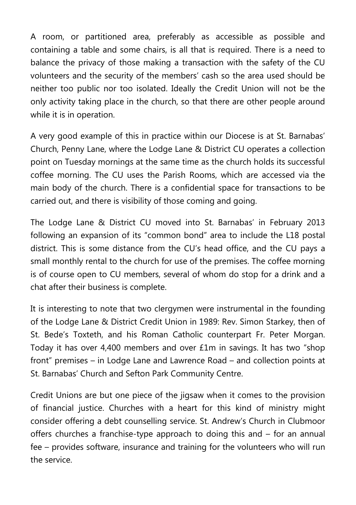A room, or partitioned area, preferably as accessible as possible and containing a table and some chairs, is all that is required. There is a need to balance the privacy of those making a transaction with the safety of the CU volunteers and the security of the members' cash so the area used should be neither too public nor too isolated. Ideally the Credit Union will not be the only activity taking place in the church, so that there are other people around while it is in operation.

A very good example of this in practice within our Diocese is at St. Barnabas' Church, Penny Lane, where the Lodge Lane & District CU operates a collection point on Tuesday mornings at the same time as the church holds its successful coffee morning. The CU uses the Parish Rooms, which are accessed via the main body of the church. There is a confidential space for transactions to be carried out, and there is visibility of those coming and going.

The Lodge Lane & District CU moved into St. Barnabas' in February 2013 following an expansion of its "common bond" area to include the L18 postal district. This is some distance from the CU's head office, and the CU pays a small monthly rental to the church for use of the premises. The coffee morning is of course open to CU members, several of whom do stop for a drink and a chat after their business is complete.

It is interesting to note that two clergymen were instrumental in the founding of the Lodge Lane & District Credit Union in 1989: Rev. Simon Starkey, then of St. Bede's Toxteth, and his Roman Catholic counterpart Fr. Peter Morgan. Today it has over 4,400 members and over £1m in savings. It has two "shop front" premises – in Lodge Lane and Lawrence Road – and collection points at St. Barnabas' Church and Sefton Park Community Centre.

Credit Unions are but one piece of the jigsaw when it comes to the provision of financial justice. Churches with a heart for this kind of ministry might consider offering a debt counselling service. St. Andrew's Church in Clubmoor offers churches a franchise-type approach to doing this and – for an annual fee – provides software, insurance and training for the volunteers who will run the service.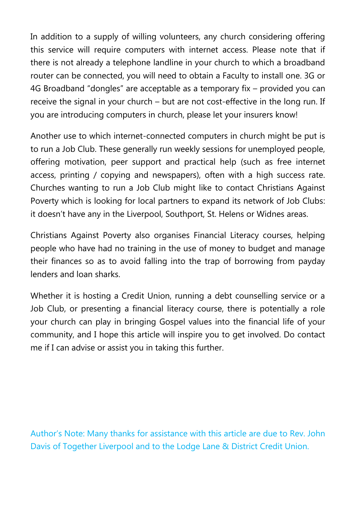In addition to a supply of willing volunteers, any church considering offering this service will require computers with internet access. Please note that if there is not already a telephone landline in your church to which a broadband router can be connected, you will need to obtain a Faculty to install one. 3G or 4G Broadband "dongles" are acceptable as a temporary fix – provided you can receive the signal in your church – but are not cost-effective in the long run. If you are introducing computers in church, please let your insurers know!

Another use to which internet-connected computers in church might be put is to run a Job Club. These generally run weekly sessions for unemployed people, offering motivation, peer support and practical help (such as free internet access, printing / copying and newspapers), often with a high success rate. Churches wanting to run a Job Club might like to contact Christians Against Poverty which is looking for local partners to expand its network of Job Clubs: it doesn't have any in the Liverpool, Southport, St. Helens or Widnes areas.

Christians Against Poverty also organises Financial Literacy courses, helping people who have had no training in the use of money to budget and manage their finances so as to avoid falling into the trap of borrowing from payday lenders and loan sharks.

Whether it is hosting a Credit Union, running a debt counselling service or a Job Club, or presenting a financial literacy course, there is potentially a role your church can play in bringing Gospel values into the financial life of your community, and I hope this article will inspire you to get involved. Do contact me if I can advise or assist you in taking this further.

Author's Note: Many thanks for assistance with this article are due to Rev. John Davis of Together Liverpool and to the Lodge Lane & District Credit Union.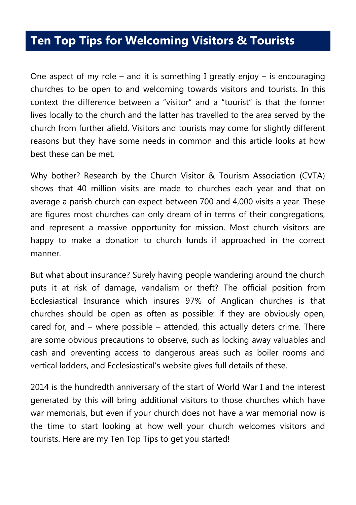#### **Ten Top Tips for Welcoming Visitors & Tourists**

One aspect of my role – and it is something I greatly enjoy – is encouraging churches to be open to and welcoming towards visitors and tourists. In this context the difference between a "visitor" and a "tourist" is that the former lives locally to the church and the latter has travelled to the area served by the church from further afield. Visitors and tourists may come for slightly different reasons but they have some needs in common and this article looks at how best these can be met.

Why bother? Research by the Church Visitor & Tourism Association (CVTA) shows that 40 million visits are made to churches each year and that on average a parish church can expect between 700 and 4,000 visits a year. These are figures most churches can only dream of in terms of their congregations, and represent a massive opportunity for mission. Most church visitors are happy to make a donation to church funds if approached in the correct manner.

But what about insurance? Surely having people wandering around the church puts it at risk of damage, vandalism or theft? The official position from Ecclesiastical Insurance which insures 97% of Anglican churches is that churches should be open as often as possible: if they are obviously open, cared for, and – where possible – attended, this actually deters crime. There are some obvious precautions to observe, such as locking away valuables and cash and preventing access to dangerous areas such as boiler rooms and vertical ladders, and Ecclesiastical's website gives full details of these.

2014 is the hundredth anniversary of the start of World War I and the interest generated by this will bring additional visitors to those churches which have war memorials, but even if your church does not have a war memorial now is the time to start looking at how well your church welcomes visitors and tourists. Here are my Ten Top Tips to get you started!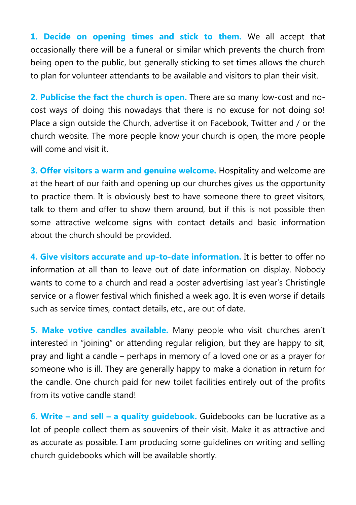**1. Decide on opening times and stick to them.** We all accept that occasionally there will be a funeral or similar which prevents the church from being open to the public, but generally sticking to set times allows the church to plan for volunteer attendants to be available and visitors to plan their visit.

**2. Publicise the fact the church is open.** There are so many low-cost and nocost ways of doing this nowadays that there is no excuse for not doing so! Place a sign outside the Church, advertise it on Facebook, Twitter and / or the church website. The more people know your church is open, the more people will come and visit it.

**3. Offer visitors a warm and genuine welcome.** Hospitality and welcome are at the heart of our faith and opening up our churches gives us the opportunity to practice them. It is obviously best to have someone there to greet visitors, talk to them and offer to show them around, but if this is not possible then some attractive welcome signs with contact details and basic information about the church should be provided.

**4. Give visitors accurate and up-to-date information.** It is better to offer no information at all than to leave out-of-date information on display. Nobody wants to come to a church and read a poster advertising last year's Christingle service or a flower festival which finished a week ago. It is even worse if details such as service times, contact details, etc., are out of date.

**5. Make votive candles available.** Many people who visit churches aren't interested in "joining" or attending regular religion, but they are happy to sit, pray and light a candle – perhaps in memory of a loved one or as a prayer for someone who is ill. They are generally happy to make a donation in return for the candle. One church paid for new toilet facilities entirely out of the profits from its votive candle stand!

**6. Write – and sell – a quality guidebook.** Guidebooks can be lucrative as a lot of people collect them as souvenirs of their visit. Make it as attractive and as accurate as possible. I am producing some guidelines on writing and selling church guidebooks which will be available shortly.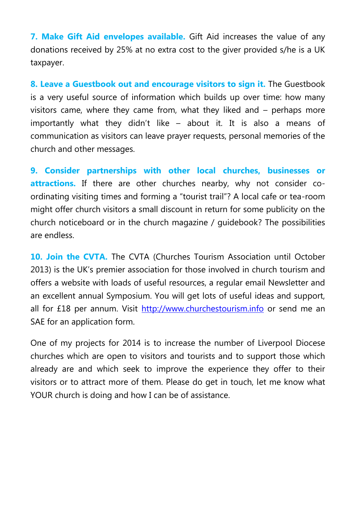**7. Make Gift Aid envelopes available.** Gift Aid increases the value of any donations received by 25% at no extra cost to the giver provided s/he is a UK taxpayer.

**8. Leave a Guestbook out and encourage visitors to sign it.** The Guestbook is a very useful source of information which builds up over time: how many visitors came, where they came from, what they liked and – perhaps more importantly what they didn't like – about it. It is also a means of communication as visitors can leave prayer requests, personal memories of the church and other messages.

**9. Consider partnerships with other local churches, businesses or**  attractions. If there are other churches nearby, why not consider coordinating visiting times and forming a "tourist trail"? A local cafe or tea-room might offer church visitors a small discount in return for some publicity on the church noticeboard or in the church magazine / guidebook? The possibilities are endless.

**10. Join the CVTA.** The CVTA (Churches Tourism Association until October 2013) is the UK's premier association for those involved in church tourism and offers a website with loads of useful resources, a regular email Newsletter and an excellent annual Symposium. You will get lots of useful ideas and support, all for £18 per annum. Visit [http://www.churchestourism.info](http://www.churchestourism.info/) or send me an SAE for an application form.

One of my projects for 2014 is to increase the number of Liverpool Diocese churches which are open to visitors and tourists and to support those which already are and which seek to improve the experience they offer to their visitors or to attract more of them. Please do get in touch, let me know what YOUR church is doing and how I can be of assistance.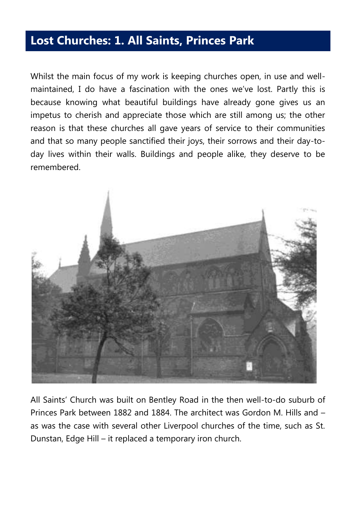#### **Lost Churches: 1. All Saints, Princes Park**

Whilst the main focus of my work is keeping churches open, in use and wellmaintained, I do have a fascination with the ones we've lost. Partly this is because knowing what beautiful buildings have already gone gives us an impetus to cherish and appreciate those which are still among us; the other reason is that these churches all gave years of service to their communities and that so many people sanctified their joys, their sorrows and their day-today lives within their walls. Buildings and people alike, they deserve to be remembered.



All Saints' Church was built on Bentley Road in the then well-to-do suburb of Princes Park between 1882 and 1884. The architect was Gordon M. Hills and – as was the case with several other Liverpool churches of the time, such as St. Dunstan, Edge Hill – it replaced a temporary iron church.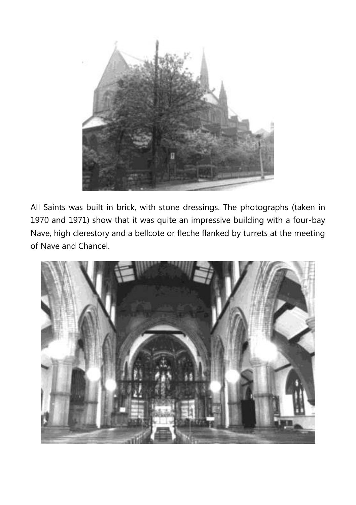

All Saints was built in brick, with stone dressings. The photographs (taken in 1970 and 1971) show that it was quite an impressive building with a four-bay Nave, high clerestory and a bellcote or fleche flanked by turrets at the meeting of Nave and Chancel.

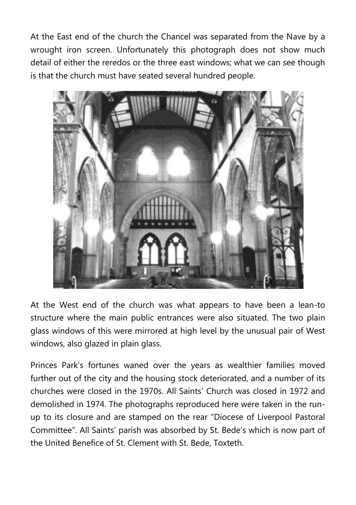At the East end of the church the Chancel was separated from the Nave by a wrought iron screen. Unfortunately this photograph does not show much detail of either the reredos or the three east windows; what we can see though is that the church must have seated several hundred people.



At the West end of the church was what appears to have been a lean-to structure where the main public entrances were also situated. The two plain glass windows of this were mirrored at high level by the unusual pair of West windows, also glazed in plain glass.

Princes Park's fortunes waned over the years as wealthier families moved further out of the city and the housing stock deteriorated, and a number of its churches were closed in the 1970s. All Saints' Church was closed in 1972 and demolished in 1974. The photographs reproduced here were taken in the runup to its closure and are stamped on the rear "Diocese of Liverpool Pastoral Committee". All Saints' parish was absorbed by St. Bede's which is now part of the United Benefice of St. Clement with St. Bede, Toxteth.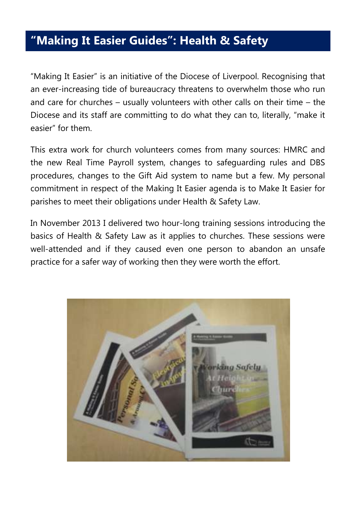#### **"Making It Easier Guides": Health & Safety**

"Making It Easier" is an initiative of the Diocese of Liverpool. Recognising that an ever-increasing tide of bureaucracy threatens to overwhelm those who run and care for churches – usually volunteers with other calls on their time – the Diocese and its staff are committing to do what they can to, literally, "make it easier" for them.

This extra work for church volunteers comes from many sources: HMRC and the new Real Time Payroll system, changes to safeguarding rules and DBS procedures, changes to the Gift Aid system to name but a few. My personal commitment in respect of the Making It Easier agenda is to Make It Easier for parishes to meet their obligations under Health & Safety Law.

In November 2013 I delivered two hour-long training sessions introducing the basics of Health & Safety Law as it applies to churches. These sessions were well-attended and if they caused even one person to abandon an unsafe practice for a safer way of working then they were worth the effort.

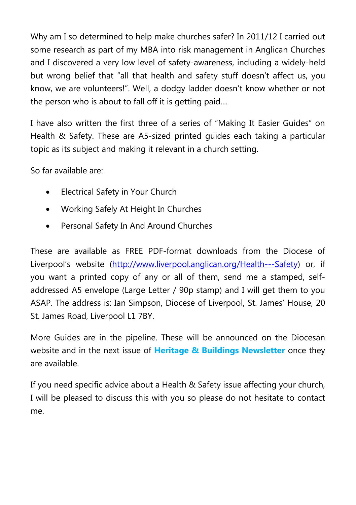Why am I so determined to help make churches safer? In 2011/12 I carried out some research as part of my MBA into risk management in Anglican Churches and I discovered a very low level of safety-awareness, including a widely-held but wrong belief that "all that health and safety stuff doesn't affect us, you know, we are volunteers!". Well, a dodgy ladder doesn't know whether or not the person who is about to fall off it is getting paid....

I have also written the first three of a series of "Making It Easier Guides" on Health & Safety. These are A5-sized printed guides each taking a particular topic as its subject and making it relevant in a church setting.

So far available are:

- Electrical Safety in Your Church
- Working Safely At Height In Churches
- Personal Safety In And Around Churches

These are available as FREE PDF-format downloads from the Diocese of Liverpool's website ([http://www.liverpool.anglican.org/Health---Safety\)](http://www.liverpool.anglican.org/Health---Safety) or, if you want a printed copy of any or all of them, send me a stamped, selfaddressed A5 envelope (Large Letter / 90p stamp) and I will get them to you ASAP. The address is: Ian Simpson, Diocese of Liverpool, St. James' House, 20 St. James Road, Liverpool L1 7BY.

More Guides are in the pipeline. These will be announced on the Diocesan website and in the next issue of **Heritage & Buildings Newsletter** once they are available.

If you need specific advice about a Health & Safety issue affecting your church, I will be pleased to discuss this with you so please do not hesitate to contact me.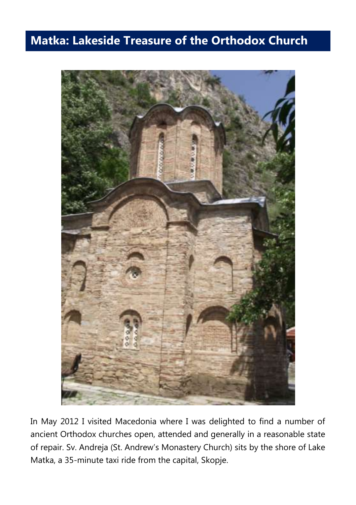#### **Matka: Lakeside Treasure of the Orthodox Church**



In May 2012 I visited Macedonia where I was delighted to find a number of ancient Orthodox churches open, attended and generally in a reasonable state of repair. Sv. Andreja (St. Andrew's Monastery Church) sits by the shore of Lake Matka, a 35-minute taxi ride from the capital, Skopje.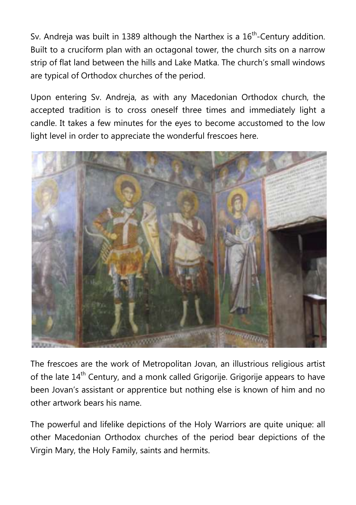Sv. Andreja was built in 1389 although the Narthex is a  $16<sup>th</sup>$ -Century addition. Built to a cruciform plan with an octagonal tower, the church sits on a narrow strip of flat land between the hills and Lake Matka. The church's small windows are typical of Orthodox churches of the period.

Upon entering Sv. Andreja, as with any Macedonian Orthodox church, the accepted tradition is to cross oneself three times and immediately light a candle. It takes a few minutes for the eyes to become accustomed to the low light level in order to appreciate the wonderful frescoes here.



The frescoes are the work of Metropolitan Jovan, an illustrious religious artist of the late 14<sup>th</sup> Century, and a monk called Grigorije. Grigorije appears to have been Jovan's assistant or apprentice but nothing else is known of him and no other artwork bears his name.

The powerful and lifelike depictions of the Holy Warriors are quite unique: all other Macedonian Orthodox churches of the period bear depictions of the Virgin Mary, the Holy Family, saints and hermits.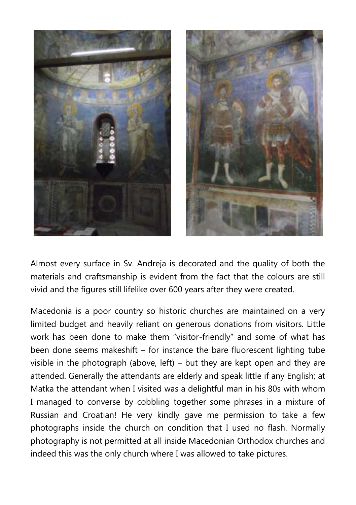

Almost every surface in Sv. Andreja is decorated and the quality of both the materials and craftsmanship is evident from the fact that the colours are still vivid and the figures still lifelike over 600 years after they were created.

Macedonia is a poor country so historic churches are maintained on a very limited budget and heavily reliant on generous donations from visitors. Little work has been done to make them "visitor-friendly" and some of what has been done seems makeshift – for instance the bare fluorescent lighting tube visible in the photograph (above, left) – but they are kept open and they are attended. Generally the attendants are elderly and speak little if any English; at Matka the attendant when I visited was a delightful man in his 80s with whom I managed to converse by cobbling together some phrases in a mixture of Russian and Croatian! He very kindly gave me permission to take a few photographs inside the church on condition that I used no flash. Normally photography is not permitted at all inside Macedonian Orthodox churches and indeed this was the only church where I was allowed to take pictures.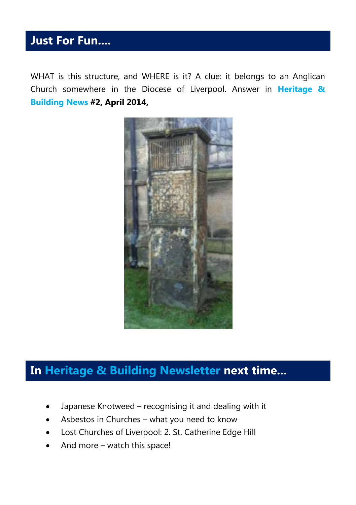#### **Just For Fun....**

WHAT is this structure, and WHERE is it? A clue: it belongs to an Anglican Church somewhere in the Diocese of Liverpool. Answer in **Heritage & Building News #2, April 2014,**



#### **In Heritage & Building Newsletter next time...**

- Japanese Knotweed recognising it and dealing with it
- Asbestos in Churches what you need to know
- Lost Churches of Liverpool: 2. St. Catherine Edge Hill
- And more watch this space!